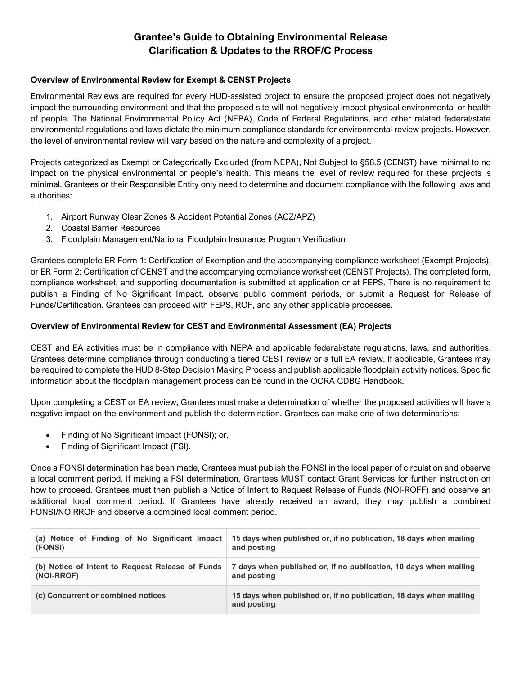# **Grantee's Guide to Obtaining Environmental Release Clarification & Updates to the RROF/C Process**

# **Overview of Environmental Review for Exempt & CENST Projects**

Environmental Reviews are required for every HUD-assisted project to ensure the proposed project does not negatively impact the surrounding environment and that the proposed site will not negatively impact physical environmental or health of people. The National Environmental Policy Act (NEPA), Code of Federal Regulations, and other related federal/state environmental regulations and laws dictate the minimum compliance standards for environmental review projects. However, the level of environmental review will vary based on the nature and complexity of a project.

Projects categorized as Exempt or Categorically Excluded (from NEPA), Not Subject to §58.5 (CENST) have minimal to no impact on the physical environmental or people's health. This means the level of review required for these projects is minimal. Grantees or their Responsible Entity only need to determine and document compliance with the following laws and authorities:

- 1. Airport Runway Clear Zones & Accident Potential Zones (ACZ/APZ)
- 2. Coastal Barrier Resources
- 3. Floodplain Management/National Floodplain Insurance Program Verification

Grantees complete ER Form 1: Certification of Exemption and the accompanying compliance worksheet (Exempt Projects), or ER Form 2: Certification of CENST and the accompanying compliance worksheet (CENST Projects). The completed form, compliance worksheet, and supporting documentation is submitted at application or at FEPS. There is no requirement to publish a Finding of No Significant Impact, observe public comment periods, or submit a Request for Release of Funds/Certification. Grantees can proceed with FEPS, ROF, and any other applicable processes.

# **Overview of Environmental Review for CEST and Environmental Assessment (EA) Projects**

CEST and EA activities must be in compliance with NEPA and applicable federal/state regulations, laws, and authorities. Grantees determine compliance through conducting a tiered CEST review or a full EA review. If applicable, Grantees may be required to complete the HUD 8-Step Decision Making Process and publish applicable floodplain activity notices. Specific information about the floodplain management process can be found in the OCRA CDBG Handbook.

Upon completing a CEST or EA review, Grantees must make a determination of whether the proposed activities will have a negative impact on the environment and publish the determination. Grantees can make one of two determinations:

- Finding of No Significant Impact (FONSI); or,
- Finding of Significant Impact (FSI).

Once a FONSI determination has been made, Grantees must publish the FONSI in the local paper of circulation and observe a local comment period. If making a FSI determination, Grantees MUST contact Grant Services for further instruction on how to proceed. Grantees must then publish a Notice of Intent to Request Release of Funds (NOI-ROFF) and observe an additional local comment period. If Grantees have already received an award, they may publish a combined FONSI/NOIRROF and observe a combined local comment period.

| (a) Notice of Finding of No Significant Impact   | 15 days when published or, if no publication, 18 days when mailing                |
|--------------------------------------------------|-----------------------------------------------------------------------------------|
| (FONSI)                                          | and posting                                                                       |
| (b) Notice of Intent to Request Release of Funds | 7 days when published or, if no publication, 10 days when mailing                 |
| (NOI-RROF)                                       | and posting                                                                       |
| (c) Concurrent or combined notices               | 15 days when published or, if no publication, 18 days when mailing<br>and posting |